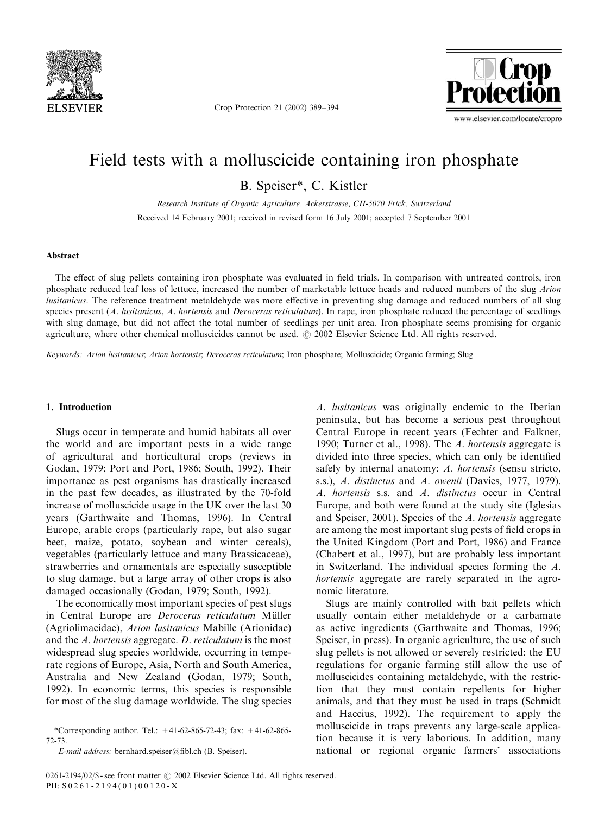

Crop Protection 21 (2002) 389–394



# Field tests with a molluscicide containing iron phosphate

B.Speiser\*, C.Kistler

Research Institute of Organic Agriculture, Ackerstrasse, CH-5070 Frick, Switzerland Received 14 February 2001; received in revised form 16 July 2001; accepted 7 September 2001

#### Abstract

The effect of slug pellets containing iron phosphate was evaluated in field trials.In comparison with untreated controls, iron phosphate reduced leaf loss of lettuce, increased the number of marketable lettuce heads and reduced numbers of the slug Arion lusitanicus. The reference treatment metaldehyde was more effective in preventing slug damage and reduced numbers of all slug species present (A. lusitanicus, A. hortensis and Deroceras reticulatum). In rape, iron phosphate reduced the percentage of seedlings with slug damage, but did not affect the total number of seedlings per unit area. Iron phosphate seems promising for organic agriculture, where other chemical molluscicides cannot be used.  $\odot$  2002 Elsevier Science Ltd. All rights reserved.

Keywords: Arion lusitanicus; Arion hortensis; Deroceras reticulatum; Iron phosphate; Molluscicide; Organic farming; Slug

# 1. Introduction

Slugs occur in temperate and humid habitats all over the world and are important pests in a wide range of agricultural and horticultural crops (reviews in Godan, 1979; Port and Port, 1986; South, 1992). Their importance as pest organisms has drastically increased in the past few decades, as illustrated by the 70-fold increase of molluscicide usage in the UK over the last 30 years (Garthwaite and Thomas, 1996). In Central Europe, arable crops (particularly rape, but also sugar beet, maize, potato, soybean and winter cereals), vegetables (particularly lettuce and many Brassicaceae), strawberries and ornamentals are especially susceptible to slug damage, but a large array of other crops is also damaged occasionally (Godan, 1979; South, 1992).

The economically most important species of pest slugs in Central Europe are Deroceras reticulatum Müller (Agriolimacidae), Arion lusitanicus Mabille (Arionidae) and the A. hortensis aggregate. D. reticulatum is the most widespread slug species worldwide, occurring in temperate regions of Europe, Asia, North and South America, Australia and New Zealand (Godan, 1979; South, 1992).In economic terms, this species is responsible for most of the slug damage worldwide.The slug species

A. lusitanicus was originally endemic to the Iberian peninsula, but has become a serious pest throughout Central Europe in recent years (Fechter and Falkner, 1990; Turner et al., 1998). The A. hortensis aggregate is divided into three species, which can only be identified safely by internal anatomy: A. hortensis (sensu stricto, s.s.), A. distinctus and A. owenii (Davies, 1977, 1979). A. hortensis s.s. and A. distinctus occur in Central Europe, and both were found at the study site (Iglesias and Speiser, 2001). Species of the A. hortensis aggregate are among the most important slug pests of field crops in the United Kingdom (Port and Port, 1986) and France (Chabert et al., 1997), but are probably less important in Switzerland. The individual species forming the A. hortensis aggregate are rarely separated in the agronomic literature.

Slugs are mainly controlled with bait pellets which usually contain either metaldehyde or a carbamate as active ingredients (Garthwaite and Thomas, 1996; Speiser, in press). In organic agriculture, the use of such slug pellets is not allowed or severely restricted: the EU regulations for organic farming still allow the use of molluscicides containing metaldehyde, with the restriction that they must contain repellents for higher animals, and that they must be used in traps (Schmidt and Haccius, 1992).The requirement to apply the molluscicide in traps prevents any large-scale application because it is very laborious.In addition, many national or regional organic farmers' associations

<sup>\*</sup>Corresponding author.Tel.: +41-62-865-72-43; fax: +41-62-865- 72-73.

E-mail address: bernhard.speiser@fibl.ch (B. Speiser).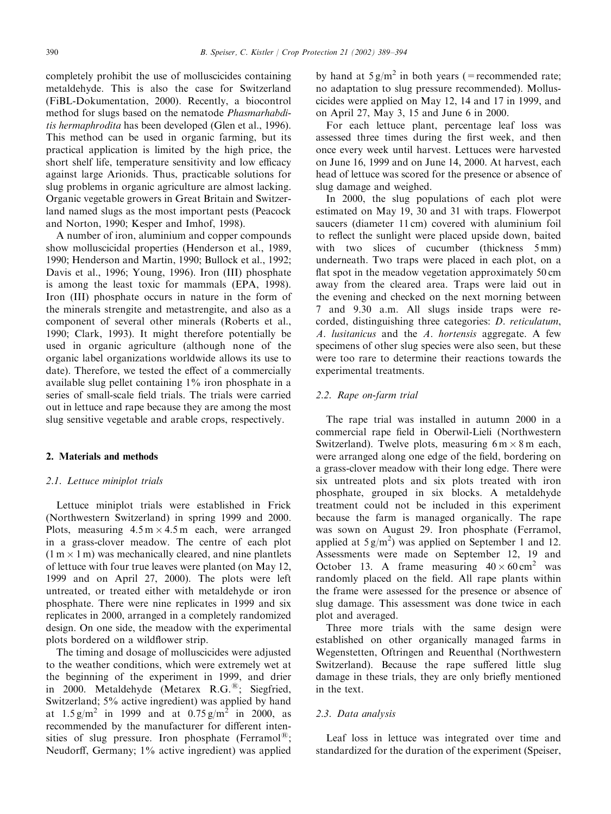completely prohibit the use of molluscicides containing metaldehyde.This is also the case for Switzerland (FiBL-Dokumentation, 2000). Recently, a biocontrol method for slugs based on the nematode Phasmarhabditis hermaphrodita has been developed (Glen et al., 1996). This method can be used in organic farming, but its practical application is limited by the high price, the short shelf life, temperature sensitivity and low efficacy against large Arionids.Thus, practicable solutions for slug problems in organic agriculture are almost lacking. Organic vegetable growers in Great Britain and Switzerland named slugs as the most important pests (Peacock and Norton, 1990; Kesper and Imhof, 1998).

A number of iron, aluminium and copper compounds show molluscicidal properties (Henderson et al., 1989, 1990; Henderson and Martin, 1990; Bullock et al., 1992; Davis et al., 1996; Young, 1996). Iron (III) phosphate is among the least toxic for mammals (EPA, 1998). Iron (III) phosphate occurs in nature in the form of the minerals strengite and metastrengite, and also as a component of several other minerals (Roberts et al., 1990; Clark, 1993). It might therefore potentially be used in organic agriculture (although none of the organic label organizations worldwide allows its use to date). Therefore, we tested the effect of a commercially available slug pellet containing 1% iron phosphate in a series of small-scale field trials.The trials were carried out in lettuce and rape because they are among the most slug sensitive vegetable and arable crops, respectively.

#### 2. Materials and methods

## 2.1. Lettuce miniplot trials

Lettuce miniplot trials were established in Frick (Northwestern Switzerland) in spring 1999 and 2000. Plots, measuring  $4.5 \text{ m} \times 4.5 \text{ m}$  each, were arranged in a grass-clover meadow.The centre of each plot  $(1 m \times 1 m)$  was mechanically cleared, and nine plantlets of lettuce with four true leaves were planted (on May 12, 1999 and on April 27, 2000). The plots were left untreated, or treated either with metaldehyde or iron phosphate.There were nine replicates in 1999 and six replicates in 2000, arranged in a completely randomized design.On one side, the meadow with the experimental plots bordered on a wildflower strip.

The timing and dosage of molluscicides were adjusted to the weather conditions, which were extremely wet at the beginning of the experiment in 1999, and drier in 2000. Metaldehyde (Metarex R.G.<sup>®</sup>; Siegfried, Switzerland; 5% active ingredient) was applied by hand at  $1.5 \text{ g/m}^2$  in 1999 and at  $0.75 \text{ g/m}^2$  in 2000, as recommended by the manufacturer for different intensities of slug pressure. Iron phosphate (Ferramol<sup>®</sup>); Neudorff, Germany; 1% active ingredient) was applied

by hand at  $5 \text{ g/m}^2$  in both years (=recommended rate; no adaptation to slug pressure recommended). Molluscicides were applied on May 12, 14 and 17 in 1999, and on April 27, May 3, 15 and June 6 in 2000.

For each lettuce plant, percentage leaf loss was assessed three times during the first week, and then once every week until harvest.Lettuces were harvested on June 16, 1999 and on June 14, 2000.At harvest, each head of lettuce was scored for the presence or absence of slug damage and weighed.

In 2000, the slug populations of each plot were estimated on May 19, 30 and 31 with traps. Flowerpot saucers (diameter 11 cm) covered with aluminium foil to reflect the sunlight were placed upside down, baited with two slices of cucumber (thickness 5 mm) underneath.Two traps were placed in each plot, on a flat spot in the meadow vegetation approximately 50 cm away from the cleared area. Traps were laid out in the evening and checked on the next morning between 7 and 9.30 a.m. All slugs inside traps were recorded, distinguishing three categories: D. reticulatum,  $A$ . lusitanicus and the  $A$ . hortensis aggregate. A few specimens of other slug species were also seen, but these were too rare to determine their reactions towards the experimental treatments.

# 2.2. Rape on-farm trial

The rape trial was installed in autumn 2000 in a commercial rape field in Oberwil-Lieli (Northwestern Switzerland). Twelve plots, measuring  $6 \text{ m} \times 8 \text{ m}$  each, were arranged along one edge of the field, bordering on a grass-clover meadow with their long edge.There were six untreated plots and six plots treated with iron phosphate, grouped in six blocks. A metaldehyde treatment could not be included in this experiment because the farm is managed organically.The rape was sown on August 29. Iron phosphate (Ferramol, applied at  $5 g/m^2$ ) was applied on September 1 and 12. Assessments were made on September 12, 19 and October 13. A frame measuring  $40 \times 60 \text{ cm}^2$  was randomly placed on the field.All rape plants within the frame were assessed for the presence or absence of slug damage.This assessment was done twice in each plot and averaged.

Three more trials with the same design were established on other organically managed farms in Wegenstetten, Oftringen and Reuenthal (Northwestern Switzerland). Because the rape suffered little slug damage in these trials, they are only briefly mentioned in the text.

# 2.3. Data analysis

Leaf loss in lettuce was integrated over time and standardized for the duration of the experiment (Speiser,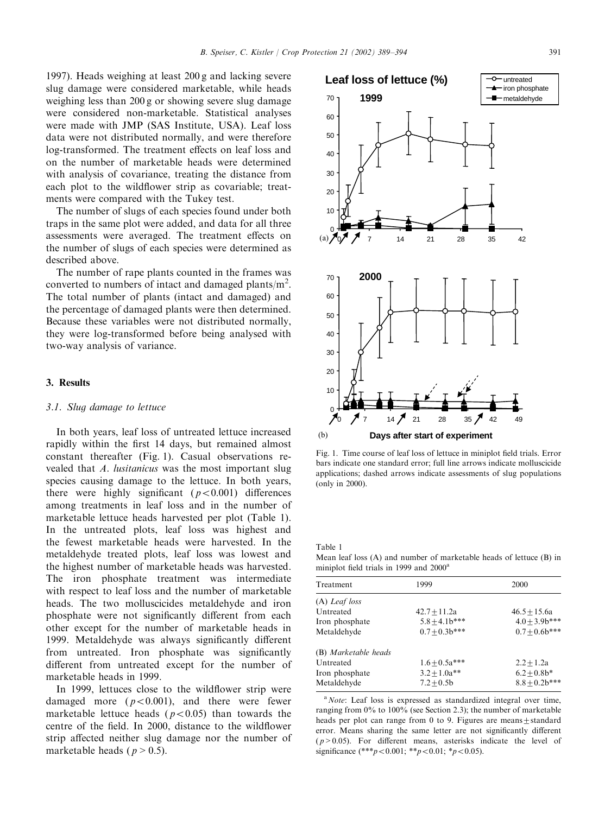1997).Heads weighing at least 200 g and lacking severe slug damage were considered marketable, while heads weighing less than 200 g or showing severe slug damage were considered non-marketable. Statistical analyses were made with JMP (SAS Institute, USA). Leaf loss data were not distributed normally, and were therefore log-transformed.The treatment effects on leaf loss and on the number of marketable heads were determined with analysis of covariance, treating the distance from each plot to the wildflower strip as covariable; treatments were compared with the Tukey test.

The number of slugs of each species found under both traps in the same plot were added, and data for all three assessments were averaged.The treatment effects on the number of slugs of each species were determined as described above.

The number of rape plants counted in the frames was converted to numbers of intact and damaged plants/ $m^2$ . The total number of plants (intact and damaged) and the percentage of damaged plants were then determined. Because these variables were not distributed normally, they were log-transformed before being analysed with two-way analysis of variance.

#### 3. Results

#### 3.1. Slug damage to lettuce

In both years, leaf loss of untreated lettuce increased rapidly within the first 14 days, but remained almost constant thereafter (Fig.1). Casual observations revealed that A. lusitanicus was the most important slug species causing damage to the lettuce. In both years, there were highly significant  $(p<0.001)$  differences among treatments in leaf loss and in the number of marketable lettuce heads harvested per plot (Table 1). In the untreated plots, leaf loss was highest and the fewest marketable heads were harvested.In the metaldehyde treated plots, leaf loss was lowest and the highest number of marketable heads was harvested. The iron phosphate treatment was intermediate with respect to leaf loss and the number of marketable heads.The two molluscicides metaldehyde and iron phosphate were not significantly different from each other except for the number of marketable heads in 1999.Metaldehyde was always significantly different from untreated. Iron phosphate was significantly different from untreated except for the number of marketable heads in 1999.

In 1999, lettuces close to the wildflower strip were damaged more  $(p<0.001)$ , and there were fewer marketable lettuce heads ( $p < 0.05$ ) than towards the centre of the field.In 2000, distance to the wildflower strip affected neither slug damage nor the number of marketable heads ( $p > 0.5$ ).



Fig.1. Time course of leaf loss of lettuce in miniplot field trials.Error bars indicate one standard error; full line arrows indicate molluscicide applications; dashed arrows indicate assessments of slug populations (only in 2000).

Table 1

Mean leaf loss (A) and number of marketable heads of lettuce (B) in miniplot field trials in 1999 and 2000<sup>a</sup>

| Treatment            | 1999              | 2000              |
|----------------------|-------------------|-------------------|
| $(A)$ Leaf loss      |                   |                   |
| Untreated            | $42.7 + 11.2a$    | $46.5 + 15.6a$    |
| Iron phosphate       | $5.8 \pm 4.1b***$ | $4.0 \pm 3.9b***$ |
| Metaldehyde          | $0.7 \pm 0.3b***$ | $0.7 \pm 0.6b***$ |
| (B) Marketable heads |                   |                   |
| Untreated            | $1.6 + 0.5a***$   | $2.2 + 1.2a$      |
| Iron phosphate       | $3.2 \pm 1.0a***$ | $6.2 + 0.8b*$     |
| Metaldehyde          | $7.2 + 0.5b$      | $8.8 + 0.2b***$   |

<sup>a</sup> Note: Leaf loss is expressed as standardized integral over time, ranging from 0% to 100% (see Section 2.3); the number of marketable heads per plot can range from 0 to 9. Figures are means $\pm$ standard error.Means sharing the same letter are not significantly different  $(p>0.05)$ . For different means, asterisks indicate the level of significance (\*\*\* $p < 0.001$ ; \*\* $p < 0.01$ ; \* $p < 0.05$ ).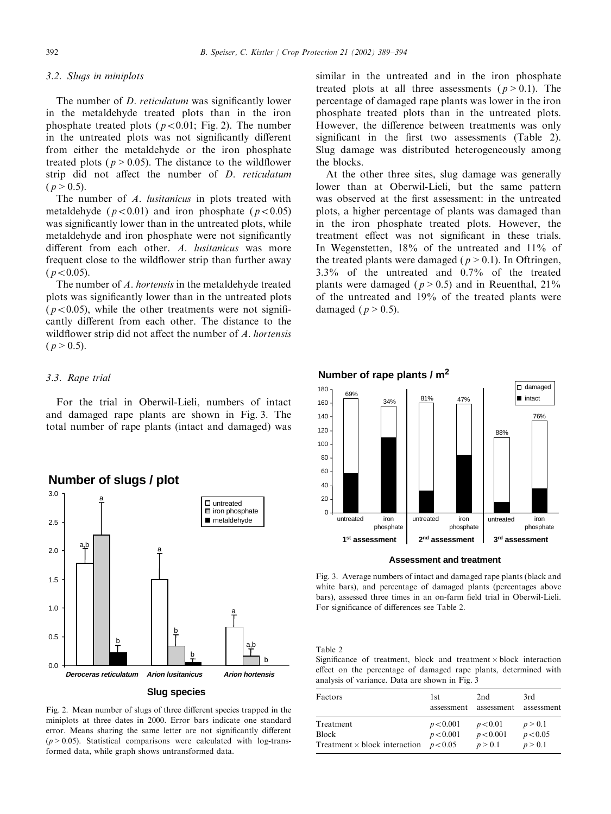#### 3.2. Slugs in miniplots

The number of *D. reticulatum* was significantly lower in the metaldehyde treated plots than in the iron phosphate treated plots ( $p < 0.01$ ; Fig. 2). The number in the untreated plots was not significantly different from either the metaldehyde or the iron phosphate treated plots ( $p > 0.05$ ). The distance to the wildflower strip did not affect the number of D. reticulatum  $(p > 0.5)$ .

The number of A. lusitanicus in plots treated with metaldehyde ( $p < 0.01$ ) and iron phosphate ( $p < 0.05$ ) was significantly lower than in the untreated plots, while metaldehyde and iron phosphate were not significantly different from each other. A. *lusitanicus* was more frequent close to the wildflower strip than further away  $(p < 0.05)$ .

The number of A. hortensis in the metaldehyde treated plots was significantly lower than in the untreated plots ( $p < 0.05$ ), while the other treatments were not significantly different from each other.The distance to the wildflower strip did not affect the number of A. hortensis  $(p > 0.5)$ .

# 3.3. Rape trial

For the trial in Oberwil-Lieli, numbers of intact and damaged rape plants are shown in Fig.3. The total number of rape plants (intact and damaged) was



#### Fig.2. Mean number of slugs of three different species trapped in the miniplots at three dates in 2000.Error bars indicate one standard error. Means sharing the same letter are not significantly different  $(p > 0.05)$ . Statistical comparisons were calculated with log-transformed data, while graph shows untransformed data.

similar in the untreated and in the iron phosphate treated plots at all three assessments ( $p > 0.1$ ). The percentage of damaged rape plants was lower in the iron phosphate treated plots than in the untreated plots. However, the difference between treatments was only significant in the first two assessments (Table 2). Slug damage was distributed heterogeneously among the blocks.

At the other three sites, slug damage was generally lower than at Oberwil-Lieli, but the same pattern was observed at the first assessment: in the untreated plots, a higher percentage of plants was damaged than in the iron phosphate treated plots. However, the treatment effect was not significant in these trials. In Wegenstetten, 18% of the untreated and 11% of the treated plants were damaged ( $p > 0.1$ ). In Oftringen, 3.3% of the untreated and 0.7% of the treated plants were damaged ( $p > 0.5$ ) and in Reuenthal, 21% of the untreated and 19% of the treated plants were damaged ( $p > 0.5$ ).



#### **Assessment and treatment**

Fig.3. Average numbers of intact and damaged rape plants (black and white bars), and percentage of damaged plants (percentages above bars), assessed three times in an on-farm field trial in Oberwil-Lieli. For significance of differences see Table 2.

#### Table 2

Significance of treatment, block and treatment  $\times$  block interaction effect on the percentage of damaged rape plants, determined with analysis of variance.Data are shown in Fig.3

| Factors                              | 1st<br>assessment | 2nd<br>assessment | 3rd<br>assessment |
|--------------------------------------|-------------------|-------------------|-------------------|
| Treatment                            | p < 0.001         | p < 0.01          | p > 0.1           |
| Block                                | p < 0.001         | p < 0.001         | p < 0.05          |
| Treatment $\times$ block interaction | p < 0.05          | p > 0.1           | p > 0.1           |

# **Number of slugs / plot**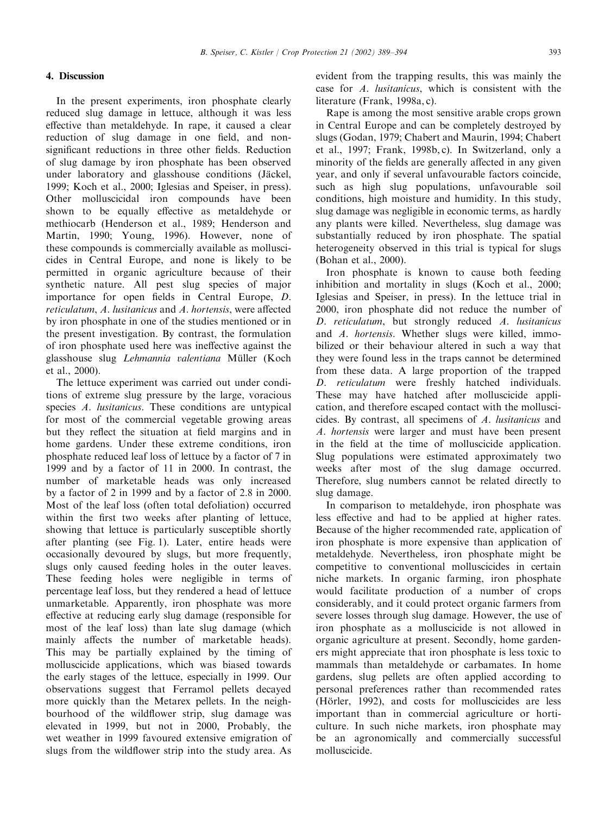# 4. Discussion

In the present experiments, iron phosphate clearly reduced slug damage in lettuce, although it was less effective than metaldehyde.In rape, it caused a clear reduction of slug damage in one field, and nonsignificant reductions in three other fields. Reduction of slug damage by iron phosphate has been observed under laboratory and glasshouse conditions (Jackel, . 1999; Koch et al., 2000; Iglesias and Speiser, in press). Other molluscicidal iron compounds have been shown to be equally effective as metaldehyde or methiocarb (Henderson et al., 1989; Henderson and Martin, 1990; Young, 1996). However, none of these compounds is commercially available as molluscicides in Central Europe, and none is likely to be permitted in organic agriculture because of their synthetic nature. All pest slug species of major importance for open fields in Central Europe, D. reticulatum, A. lusitanicus and A. hortensis, were affected by iron phosphate in one of the studies mentioned or in the present investigation.By contrast, the formulation of iron phosphate used here was ineffective against the glasshouse slug Lehmannia valentiana Müller (Koch et al., 2000).

The lettuce experiment was carried out under conditions of extreme slug pressure by the large, voracious species A. lusitanicus. These conditions are untypical for most of the commercial vegetable growing areas but they reflect the situation at field margins and in home gardens. Under these extreme conditions, iron phosphate reduced leaf loss of lettuce by a factor of 7 in 1999 and by a factor of 11 in 2000.In contrast, the number of marketable heads was only increased by a factor of 2 in 1999 and by a factor of 2.8 in 2000. Most of the leaf loss (often total defoliation) occurred within the first two weeks after planting of lettuce, showing that lettuce is particularly susceptible shortly after planting (see Fig.1). Later, entire heads were occasionally devoured by slugs, but more frequently, slugs only caused feeding holes in the outer leaves. These feeding holes were negligible in terms of percentage leaf loss, but they rendered a head of lettuce unmarketable. Apparently, iron phosphate was more effective at reducing early slug damage (responsible for most of the leaf loss) than late slug damage (which mainly affects the number of marketable heads). This may be partially explained by the timing of molluscicide applications, which was biased towards the early stages of the lettuce, especially in 1999.Our observations suggest that Ferramol pellets decayed more quickly than the Metarex pellets.In the neighbourhood of the wildflower strip, slug damage was elevated in 1999, but not in 2000, Probably, the wet weather in 1999 favoured extensive emigration of slugs from the wildflower strip into the study area. As evident from the trapping results, this was mainly the case for A. lusitanicus, which is consistent with the literature (Frank, 1998a, c).

Rape is among the most sensitive arable crops grown in Central Europe and can be completely destroyed by slugs (Godan, 1979; Chabert and Maurin, 1994; Chabert et al., 1997; Frank, 1998b, c). In Switzerland, only a minority of the fields are generally affected in any given year, and only if several unfavourable factors coincide, such as high slug populations, unfavourable soil conditions, high moisture and humidity.In this study, slug damage was negligible in economic terms, as hardly any plants were killed. Nevertheless, slug damage was substantially reduced by iron phosphate. The spatial heterogeneity observed in this trial is typical for slugs (Bohan et al., 2000).

Iron phosphate is known to cause both feeding inhibition and mortality in slugs (Koch et al., 2000; Iglesias and Speiser, in press).In the lettuce trial in 2000, iron phosphate did not reduce the number of D. reticulatum, but strongly reduced A. lusitanicus and A. hortensis. Whether slugs were killed, immobilized or their behaviour altered in such a way that they were found less in the traps cannot be determined from these data.A large proportion of the trapped D. reticulatum were freshly hatched individuals. These may have hatched after molluscicide application, and therefore escaped contact with the molluscicides.By contrast, all specimens of A. lusitanicus and A. hortensis were larger and must have been present in the field at the time of molluscicide application. Slug populations were estimated approximately two weeks after most of the slug damage occurred. Therefore, slug numbers cannot be related directly to slug damage.

In comparison to metaldehyde, iron phosphate was less effective and had to be applied at higher rates. Because of the higher recommended rate, application of iron phosphate is more expensive than application of metaldehyde. Nevertheless, iron phosphate might be competitive to conventional molluscicides in certain niche markets.In organic farming, iron phosphate would facilitate production of a number of crops considerably, and it could protect organic farmers from severe losses through slug damage. However, the use of iron phosphate as a molluscicide is not allowed in organic agriculture at present.Secondly, home gardeners might appreciate that iron phosphate is less toxic to mammals than metaldehyde or carbamates. In home gardens, slug pellets are often applied according to personal preferences rather than recommended rates (Hörler, 1992), and costs for molluscicides are less important than in commercial agriculture or horticulture.In such niche markets, iron phosphate may be an agronomically and commercially successful molluscicide.